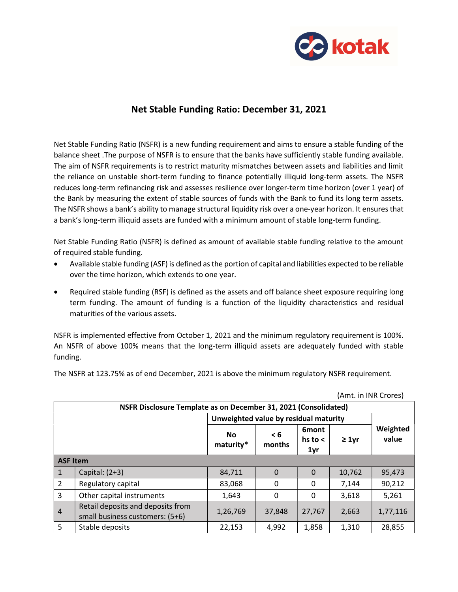

## Net Stable Funding Ratio: December 31, 2021

Net Stable Funding Ratio (NSFR) is a new funding requirement and aims to ensure a stable funding of the balance sheet .The purpose of NSFR is to ensure that the banks have sufficiently stable funding available. The aim of NSFR requirements is to restrict maturity mismatches between assets and liabilities and limit the reliance on unstable short-term funding to finance potentially illiquid long-term assets. The NSFR reduces long-term refinancing risk and assesses resilience over longer-term time horizon (over 1 year) of the Bank by measuring the extent of stable sources of funds with the Bank to fund its long term assets. The NSFR shows a bank's ability to manage structural liquidity risk over a one-year horizon. It ensures that a bank's long-term illiquid assets are funded with a minimum amount of stable long-term funding.

Net Stable Funding Ratio (NSFR) is defined as amount of available stable funding relative to the amount of required stable funding.

- Available stable funding (ASF) is defined as the portion of capital and liabilities expected to be reliable over the time horizon, which extends to one year.
- Required stable funding (RSF) is defined as the assets and off balance sheet exposure requiring long term funding. The amount of funding is a function of the liquidity characteristics and residual maturities of the various assets.

NSFR is implemented effective from October 1, 2021 and the minimum regulatory requirement is 100%. An NSFR of above 100% means that the long-term illiquid assets are adequately funded with stable funding.

The NSFR at 123.75% as of end December, 2021 is above the minimum regulatory NSFR requirement.

| NSFR Disclosure Template as on December 31, 2021 (Consolidated) |                                                                      |                                       |               |                                     |             |                   |  |
|-----------------------------------------------------------------|----------------------------------------------------------------------|---------------------------------------|---------------|-------------------------------------|-------------|-------------------|--|
|                                                                 |                                                                      | Unweighted value by residual maturity |               |                                     |             |                   |  |
|                                                                 |                                                                      | <b>No</b><br>maturity*                | < 6<br>months | <b>6mont</b><br>hs to $\leq$<br>1yr | $\geq 1$ yr | Weighted<br>value |  |
| <b>ASF Item</b>                                                 |                                                                      |                                       |               |                                     |             |                   |  |
| $\vert$ 1                                                       | Capital: $(2+3)$                                                     | 84,711                                | $\Omega$      | $\Omega$                            | 10,762      | 95,473            |  |
| $\overline{2}$                                                  | Regulatory capital                                                   | 83,068                                | 0             | 0                                   | 7,144       | 90,212            |  |
| $\overline{3}$                                                  | Other capital instruments                                            | 1,643                                 | $\mathbf{0}$  | $\mathbf{0}$                        | 3,618       | 5,261             |  |
| 4                                                               | Retail deposits and deposits from<br>small business customers: (5+6) | 1,26,769                              | 37,848        | 27,767                              | 2,663       | 1,77,116          |  |
| 5                                                               | Stable deposits                                                      | 22,153                                | 4,992         | 1,858                               | 1,310       | 28,855            |  |

(Amt. in INR Crores)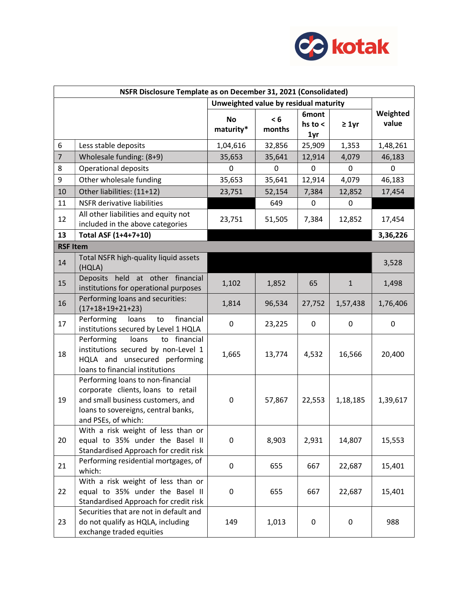

| NSFR Disclosure Template as on December 31, 2021 (Consolidated) |                                                                                                                                                                            |                                       |               |                             |              |                   |
|-----------------------------------------------------------------|----------------------------------------------------------------------------------------------------------------------------------------------------------------------------|---------------------------------------|---------------|-----------------------------|--------------|-------------------|
|                                                                 |                                                                                                                                                                            | Unweighted value by residual maturity |               |                             |              |                   |
|                                                                 |                                                                                                                                                                            | <b>No</b><br>maturity*                | < 6<br>months | 6mont<br>hs to $\lt$<br>1yr | $\geq 1$ yr  | Weighted<br>value |
| 6                                                               | Less stable deposits                                                                                                                                                       | 1,04,616                              | 32,856        | 25,909                      | 1,353        | 1,48,261          |
| $\overline{7}$                                                  | Wholesale funding: (8+9)                                                                                                                                                   | 35,653                                | 35,641        | 12,914                      | 4,079        | 46,183            |
| 8                                                               | <b>Operational deposits</b>                                                                                                                                                | $\mathbf 0$                           | 0             | $\mathbf 0$                 | 0            | 0                 |
| 9                                                               | Other wholesale funding                                                                                                                                                    | 35,653                                | 35,641        | 12,914                      | 4,079        | 46,183            |
| 10                                                              | Other liabilities: (11+12)                                                                                                                                                 | 23,751                                | 52,154        | 7,384                       | 12,852       | 17,454            |
| 11                                                              | <b>NSFR</b> derivative liabilities                                                                                                                                         |                                       | 649           | $\mathbf 0$                 | $\mathbf 0$  |                   |
| 12                                                              | All other liabilities and equity not<br>included in the above categories                                                                                                   | 23,751                                | 51,505        | 7,384                       | 12,852       | 17,454            |
| 13                                                              | Total ASF (1+4+7+10)                                                                                                                                                       |                                       |               |                             |              | 3,36,226          |
| <b>RSF Item</b>                                                 |                                                                                                                                                                            |                                       |               |                             |              |                   |
| 14                                                              | Total NSFR high-quality liquid assets<br>(HQLA)                                                                                                                            |                                       |               |                             |              | 3,528             |
| 15                                                              | held at other financial<br><b>Deposits</b><br>institutions for operational purposes                                                                                        | 1,102                                 | 1,852         | 65                          | $\mathbf{1}$ | 1,498             |
| 16                                                              | Performing loans and securities:<br>$(17+18+19+21+23)$                                                                                                                     | 1,814                                 | 96,534        | 27,752                      | 1,57,438     | 1,76,406          |
| 17                                                              | financial<br>Performing<br>loans<br>to<br>institutions secured by Level 1 HQLA                                                                                             | 0                                     | 23,225        | 0                           | 0            | 0                 |
| 18                                                              | to financial<br>Performing<br>loans<br>institutions secured by non-Level 1<br>HQLA and unsecured performing<br>loans to financial institutions                             | 1,665                                 | 13,774        | 4,532                       | 16,566       | 20,400            |
| 19                                                              | Performing loans to non-financial<br>corporate clients, loans to retail<br>and small business customers, and<br>loans to sovereigns, central banks,<br>and PSEs, of which: | 0                                     | 57,867        | 22,553                      | 1,18,185     | 1,39,617          |
| 20                                                              | With a risk weight of less than or<br>equal to 35% under the Basel II<br>Standardised Approach for credit risk                                                             | 0                                     | 8,903         | 2,931                       | 14,807       | 15,553            |
| 21                                                              | Performing residential mortgages, of<br>which:                                                                                                                             | 0                                     | 655           | 667                         | 22,687       | 15,401            |
| 22                                                              | With a risk weight of less than or<br>equal to 35% under the Basel II<br>Standardised Approach for credit risk                                                             | 0                                     | 655           | 667                         | 22,687       | 15,401            |
| 23                                                              | Securities that are not in default and<br>do not qualify as HQLA, including<br>exchange traded equities                                                                    | 149                                   | 1,013         | 0                           | $\pmb{0}$    | 988               |